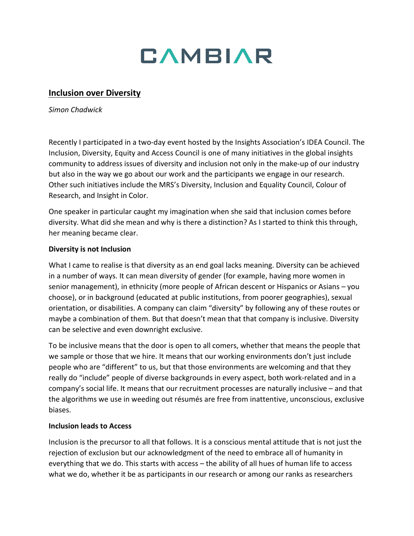

## **Inclusion over Diversity**

*Simon Chadwick*

Recently I participated in a two-day event hosted by the Insights Association's IDEA Council. The Inclusion, Diversity, Equity and Access Council is one of many initiatives in the global insights community to address issues of diversity and inclusion not only in the make-up of our industry but also in the way we go about our work and the participants we engage in our research. Other such initiatives include the MRS's Diversity, Inclusion and Equality Council, Colour of Research, and Insight in Color.

One speaker in particular caught my imagination when she said that inclusion comes before diversity. What did she mean and why is there a distinction? As I started to think this through, her meaning became clear.

### **Diversity is not Inclusion**

What I came to realise is that diversity as an end goal lacks meaning. Diversity can be achieved in a number of ways. It can mean diversity of gender (for example, having more women in senior management), in ethnicity (more people of African descent or Hispanics or Asians – you choose), or in background (educated at public institutions, from poorer geographies), sexual orientation, or disabilities. A company can claim "diversity" by following any of these routes or maybe a combination of them. But that doesn't mean that that company is inclusive. Diversity can be selective and even downright exclusive.

To be inclusive means that the door is open to all comers, whether that means the people that we sample or those that we hire. It means that our working environments don't just include people who are "different" to us, but that those environments are welcoming and that they really do "include" people of diverse backgrounds in every aspect, both work-related and in a company's social life. It means that our recruitment processes are naturally inclusive – and that the algorithms we use in weeding out résumés are free from inattentive, unconscious, exclusive biases.

#### **Inclusion leads to Access**

Inclusion is the precursor to all that follows. It is a conscious mental attitude that is not just the rejection of exclusion but our acknowledgment of the need to embrace all of humanity in everything that we do. This starts with access – the ability of all hues of human life to access what we do, whether it be as participants in our research or among our ranks as researchers